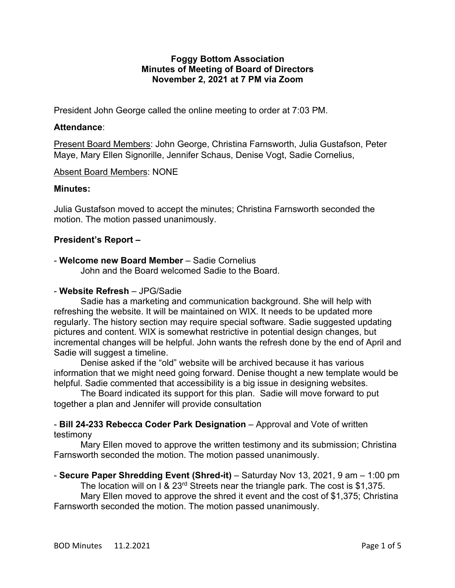# **Foggy Bottom Association Minutes of Meeting of Board of Directors November 2, 2021 at 7 PM via Zoom**

President John George called the online meeting to order at 7:03 PM.

# **Attendance**:

Present Board Members: John George, Christina Farnsworth, Julia Gustafson, Peter Maye, Mary Ellen Signorille, Jennifer Schaus, Denise Vogt, Sadie Cornelius,

# Absent Board Members: NONE

# **Minutes:**

Julia Gustafson moved to accept the minutes; Christina Farnsworth seconded the motion. The motion passed unanimously.

# **President's Report –**

# - **Welcome new Board Member** – Sadie Cornelius

John and the Board welcomed Sadie to the Board.

# - **Website Refresh** – JPG/Sadie

Sadie has a marketing and communication background. She will help with refreshing the website. It will be maintained on WIX. It needs to be updated more regularly. The history section may require special software. Sadie suggested updating pictures and content. WIX is somewhat restrictive in potential design changes, but incremental changes will be helpful. John wants the refresh done by the end of April and Sadie will suggest a timeline.

Denise asked if the "old" website will be archived because it has various information that we might need going forward. Denise thought a new template would be helpful. Sadie commented that accessibility is a big issue in designing websites.

The Board indicated its support for this plan. Sadie will move forward to put together a plan and Jennifer will provide consultation

# - **Bill 24-233 Rebecca Coder Park Designation** – Approval and Vote of written testimony

Mary Ellen moved to approve the written testimony and its submission; Christina Farnsworth seconded the motion. The motion passed unanimously.

# - **Secure Paper Shredding Event (Shred-it)** – Saturday Nov 13, 2021, 9 am – 1:00 pm

The location will on I &  $23<sup>rd</sup>$  Streets near the triangle park. The cost is \$1,375. Mary Ellen moved to approve the shred it event and the cost of \$1,375; Christina Farnsworth seconded the motion. The motion passed unanimously.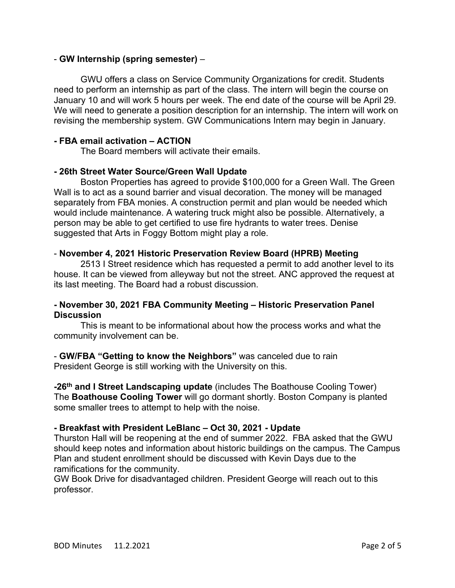# - **GW Internship (spring semester)** –

GWU offers a class on Service Community Organizations for credit. Students need to perform an internship as part of the class. The intern will begin the course on January 10 and will work 5 hours per week. The end date of the course will be April 29. We will need to generate a position description for an internship. The intern will work on revising the membership system. GW Communications Intern may begin in January.

# **- FBA email activation – ACTION**

The Board members will activate their emails.

# **- 26th Street Water Source/Green Wall Update**

Boston Properties has agreed to provide \$100,000 for a Green Wall. The Green Wall is to act as a sound barrier and visual decoration. The money will be managed separately from FBA monies. A construction permit and plan would be needed which would include maintenance. A watering truck might also be possible. Alternatively, a person may be able to get certified to use fire hydrants to water trees. Denise suggested that Arts in Foggy Bottom might play a role.

# - **November 4, 2021 Historic Preservation Review Board (HPRB) Meeting**

2513 I Street residence which has requested a permit to add another level to its house. It can be viewed from alleyway but not the street. ANC approved the request at its last meeting. The Board had a robust discussion.

# **- November 30, 2021 FBA Community Meeting – Historic Preservation Panel Discussion**

This is meant to be informational about how the process works and what the community involvement can be.

- **GW/FBA "Getting to know the Neighbors"** was canceled due to rain President George is still working with the University on this.

**-26th and I Street Landscaping update** (includes The Boathouse Cooling Tower) The **Boathouse Cooling Tower** will go dormant shortly. Boston Company is planted some smaller trees to attempt to help with the noise.

### **- Breakfast with President LeBlanc – Oct 30, 2021 - Update**

Thurston Hall will be reopening at the end of summer 2022. FBA asked that the GWU should keep notes and information about historic buildings on the campus. The Campus Plan and student enrollment should be discussed with Kevin Days due to the ramifications for the community.

GW Book Drive for disadvantaged children. President George will reach out to this professor.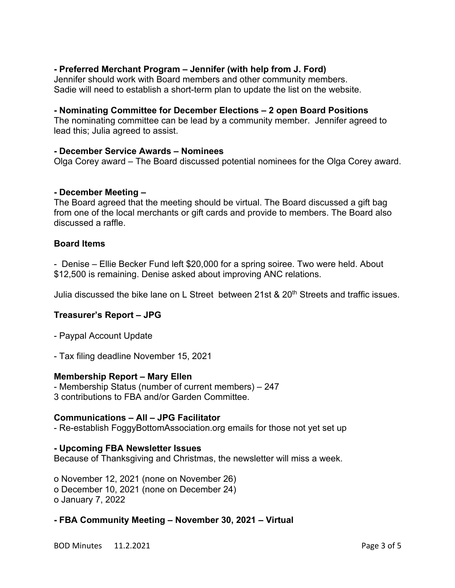# **- Preferred Merchant Program – Jennifer (with help from J. Ford)**

Jennifer should work with Board members and other community members. Sadie will need to establish a short-term plan to update the list on the website.

# **- Nominating Committee for December Elections – 2 open Board Positions**

The nominating committee can be lead by a community member. Jennifer agreed to lead this; Julia agreed to assist.

# **- December Service Awards – Nominees**

Olga Corey award – The Board discussed potential nominees for the Olga Corey award.

# **- December Meeting –**

The Board agreed that the meeting should be virtual. The Board discussed a gift bag from one of the local merchants or gift cards and provide to members. The Board also discussed a raffle.

# **Board Items**

- Denise – Ellie Becker Fund left \$20,000 for a spring soiree. Two were held. About \$12,500 is remaining. Denise asked about improving ANC relations.

Julia discussed the bike lane on L Street between 21st & 20<sup>th</sup> Streets and traffic issues.

# **Treasurer's Report – JPG**

- Paypal Account Update
- Tax filing deadline November 15, 2021

### **Membership Report – Mary Ellen**

- Membership Status (number of current members) – 247 3 contributions to FBA and/or Garden Committee.

### **Communications – All – JPG Facilitator**

- Re-establish FoggyBottomAssociation.org emails for those not yet set up

### **- Upcoming FBA Newsletter Issues**

Because of Thanksgiving and Christmas, the newsletter will miss a week.

o November 12, 2021 (none on November 26) o December 10, 2021 (none on December 24) o January 7, 2022

### **- FBA Community Meeting – November 30, 2021 – Virtual**

BOD Minutes 11.2.2021 **Page 3 of 5**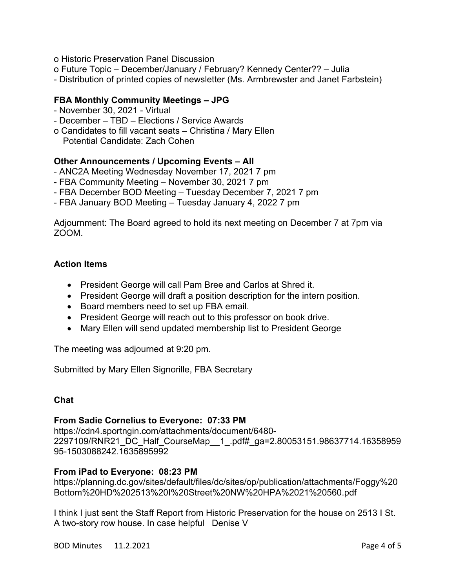- o Historic Preservation Panel Discussion
- o Future Topic December/January / February? Kennedy Center?? Julia
- Distribution of printed copies of newsletter (Ms. Armbrewster and Janet Farbstein)

# **FBA Monthly Community Meetings – JPG**

- November 30, 2021 Virtual
- December TBD Elections / Service Awards
- o Candidates to fill vacant seats Christina / Mary Ellen
- Potential Candidate: Zach Cohen

# **Other Announcements / Upcoming Events – All**

- ANC2A Meeting Wednesday November 17, 2021 7 pm
- FBA Community Meeting November 30, 2021 7 pm
- FBA December BOD Meeting Tuesday December 7, 2021 7 pm
- FBA January BOD Meeting Tuesday January 4, 2022 7 pm

Adjournment: The Board agreed to hold its next meeting on December 7 at 7pm via ZOOM.

# **Action Items**

- President George will call Pam Bree and Carlos at Shred it.
- President George will draft a position description for the intern position.
- Board members need to set up FBA email.
- President George will reach out to this professor on book drive.
- Mary Ellen will send updated membership list to President George

The meeting was adjourned at 9:20 pm.

Submitted by Mary Ellen Signorille, FBA Secretary

### **Chat**

### **From Sadie Cornelius to Everyone: 07:33 PM**

https://cdn4.sportngin.com/attachments/document/6480- 2297109/RNR21\_DC\_Half\_CourseMap\_\_1\_.pdf#\_ga=2.80053151.98637714.16358959 95-1503088242.1635895992

### **From iPad to Everyone: 08:23 PM**

https://planning.dc.gov/sites/default/files/dc/sites/op/publication/attachments/Foggy%20 Bottom%20HD%202513%20I%20Street%20NW%20HPA%2021%20560.pdf

I think I just sent the Staff Report from Historic Preservation for the house on 2513 I St. A two-story row house. In case helpful Denise V

BOD Minutes 11.2.2021 **Page 4 of 5**